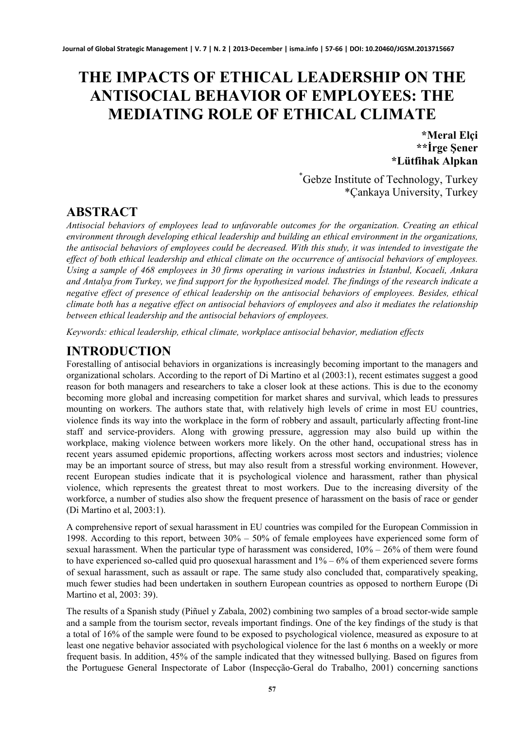# **THE IMPACTS OF ETHICAL LEADERSHIP ON THE ANTISOCIAL BEHAVIOR OF EMPLOYEES: THE MEDIATING ROLE OF ETHICAL CLIMATE**

**\*Meral Elçi \*\*İrge Şener \*Lütfihak Alpkan**

\* Gebze Institute of Technology, Turkey \*Çankaya University, Turkey

#### **ABSTRACT**

*Antisocial behaviors of employees lead to unfavorable outcomes for the organization. Creating an ethical environment through developing ethical leadership and building an ethical environment in the organizations, the antisocial behaviors of employees could be decreased. With this study, it was intended to investigate the effect of both ethical leadership and ethical climate on the occurrence of antisocial behaviors of employees. Using a sample of 468 employees in 30 firms operating in various industries in Istanbul, Kocaeli, Ankara and Antalya from Turkey, we find support for the hypothesized model. The findings of the research indicate a negative effect of presence of ethical leadership on the antisocial behaviors of employees. Besides, ethical climate both has a negative effect on antisocial behaviors of employees and also it mediates the relationship between ethical leadership and the antisocial behaviors of employees.* 

*Keywords: ethical leadership, ethical climate, workplace antisocial behavior, mediation effects*

#### **INTRODUCTION**

Forestalling of antisocial behaviors in organizations is increasingly becoming important to the managers and organizational scholars. According to the report of Di Martino et al (2003:1), recent estimates suggest a good reason for both managers and researchers to take a closer look at these actions. This is due to the economy becoming more global and increasing competition for market shares and survival, which leads to pressures mounting on workers. The authors state that, with relatively high levels of crime in most EU countries, violence finds its way into the workplace in the form of robbery and assault, particularly affecting front-line staff and service-providers. Along with growing pressure, aggression may also build up within the workplace, making violence between workers more likely. On the other hand, occupational stress has in recent years assumed epidemic proportions, affecting workers across most sectors and industries; violence may be an important source of stress, but may also result from a stressful working environment. However, recent European studies indicate that it is psychological violence and harassment, rather than physical violence, which represents the greatest threat to most workers. Due to the increasing diversity of the workforce, a number of studies also show the frequent presence of harassment on the basis of race or gender (Di Martino et al, 2003:1).

A comprehensive report of sexual harassment in EU countries was compiled for the European Commission in 1998. According to this report, between 30% – 50% of female employees have experienced some form of sexual harassment. When the particular type of harassment was considered, 10% – 26% of them were found to have experienced so-called quid pro quosexual harassment and 1% – 6% of them experienced severe forms of sexual harassment, such as assault or rape. The same study also concluded that, comparatively speaking, much fewer studies had been undertaken in southern European countries as opposed to northern Europe (Di Martino et al, 2003: 39).

The results of a Spanish study (Piñuel y Zabala, 2002) combining two samples of a broad sector-wide sample and a sample from the tourism sector, reveals important findings. One of the key findings of the study is that a total of 16% of the sample were found to be exposed to psychological violence, measured as exposure to at least one negative behavior associated with psychological violence for the last 6 months on a weekly or more frequent basis. In addition, 45% of the sample indicated that they witnessed bullying. Based on figures from the Portuguese General Inspectorate of Labor (Inspecção-Geral do Trabalho, 2001) concerning sanctions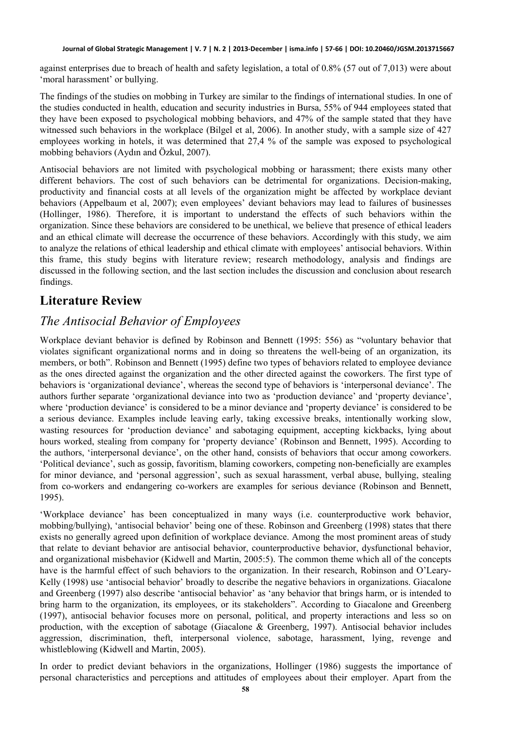against enterprises due to breach of health and safety legislation, a total of 0.8% (57 out of 7,013) were about 'moral harassment' or bullying.

The findings of the studies on mobbing in Turkey are similar to the findings of international studies. In one of the studies conducted in health, education and security industries in Bursa, 55% of 944 employees stated that they have been exposed to psychological mobbing behaviors, and 47% of the sample stated that they have witnessed such behaviors in the workplace (Bilgel et al, 2006). In another study, with a sample size of 427 employees working in hotels, it was determined that 27,4 % of the sample was exposed to psychological mobbing behaviors (Aydın and Özkul, 2007).

Antisocial behaviors are not limited with psychological mobbing or harassment; there exists many other different behaviors. The cost of such behaviors can be detrimental for organizations. Decision-making, productivity and financial costs at all levels of the organization might be affected by workplace deviant behaviors (Appelbaum et al, 2007); even employees' deviant behaviors may lead to failures of businesses (Hollinger, 1986). Therefore, it is important to understand the effects of such behaviors within the organization. Since these behaviors are considered to be unethical, we believe that presence of ethical leaders and an ethical climate will decrease the occurrence of these behaviors. Accordingly with this study, we aim to analyze the relations of ethical leadership and ethical climate with employees' antisocial behaviors. Within this frame, this study begins with literature review; research methodology, analysis and findings are discussed in the following section, and the last section includes the discussion and conclusion about research findings.

### **Literature Review**

### *The Antisocial Behavior of Employees*

Workplace deviant behavior is defined by Robinson and Bennett (1995: 556) as "voluntary behavior that violates significant organizational norms and in doing so threatens the well-being of an organization, its members, or both". Robinson and Bennett (1995) define two types of behaviors related to employee deviance as the ones directed against the organization and the other directed against the coworkers. The first type of behaviors is 'organizational deviance', whereas the second type of behaviors is 'interpersonal deviance'. The authors further separate 'organizational deviance into two as 'production deviance' and 'property deviance', where 'production deviance' is considered to be a minor deviance and 'property deviance' is considered to be a serious deviance. Examples include leaving early, taking excessive breaks, intentionally working slow, wasting resources for 'production deviance' and sabotaging equipment, accepting kickbacks, lying about hours worked, stealing from company for 'property deviance' (Robinson and Bennett, 1995). According to the authors, 'interpersonal deviance', on the other hand, consists of behaviors that occur among coworkers. 'Political deviance', such as gossip, favoritism, blaming coworkers, competing non-beneficially are examples for minor deviance, and 'personal aggression', such as sexual harassment, verbal abuse, bullying, stealing from co-workers and endangering co-workers are examples for serious deviance (Robinson and Bennett, 1995).

'Workplace deviance' has been conceptualized in many ways (i.e. counterproductive work behavior, mobbing/bullying), 'antisocial behavior' being one of these. Robinson and Greenberg (1998) states that there exists no generally agreed upon definition of workplace deviance. Among the most prominent areas of study that relate to deviant behavior are antisocial behavior, counterproductive behavior, dysfunctional behavior, and organizational misbehavior (Kidwell and Martin, 2005:5). The common theme which all of the concepts have is the harmful effect of such behaviors to the organization. In their research, Robinson and O'Leary-Kelly (1998) use 'antisocial behavior' broadly to describe the negative behaviors in organizations. Giacalone and Greenberg (1997) also describe 'antisocial behavior' as 'any behavior that brings harm, or is intended to bring harm to the organization, its employees, or its stakeholders". According to Giacalone and Greenberg (1997), antisocial behavior focuses more on personal, political, and property interactions and less so on production, with the exception of sabotage (Giacalone & Greenberg, 1997). Antisocial behavior includes aggression, discrimination, theft, interpersonal violence, sabotage, harassment, lying, revenge and whistleblowing (Kidwell and Martin, 2005).

In order to predict deviant behaviors in the organizations, Hollinger (1986) suggests the importance of personal characteristics and perceptions and attitudes of employees about their employer. Apart from the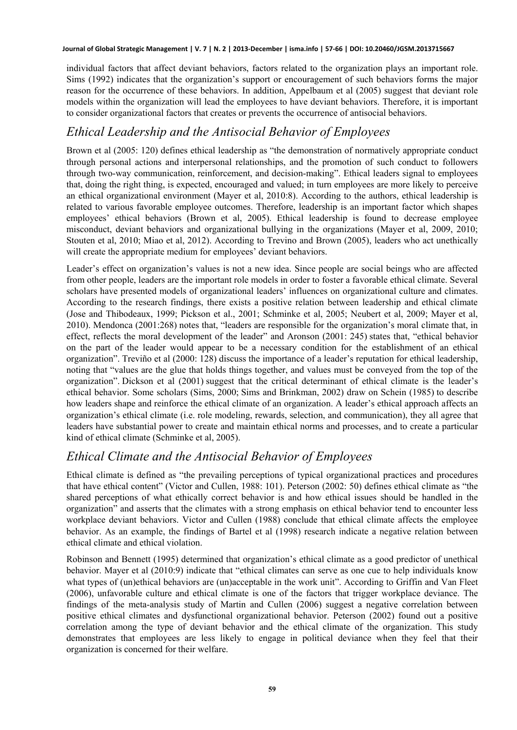individual factors that affect deviant behaviors, factors related to the organization plays an important role. Sims (1992) indicates that the organization's support or encouragement of such behaviors forms the major reason for the occurrence of these behaviors. In addition, Appelbaum et al (2005) suggest that deviant role models within the organization will lead the employees to have deviant behaviors. Therefore, it is important to consider organizational factors that creates or prevents the occurrence of antisocial behaviors.

#### *Ethical Leadership and the Antisocial Behavior of Employees*

Brown et al (2005: 120) defines ethical leadership as "the demonstration of normatively appropriate conduct through personal actions and interpersonal relationships, and the promotion of such conduct to followers through two-way communication, reinforcement, and decision-making". Ethical leaders signal to employees that, doing the right thing, is expected, encouraged and valued; in turn employees are more likely to perceive an ethical organizational environment (Mayer et al, 2010:8). According to the authors, ethical leadership is related to various favorable employee outcomes. Therefore, leadership is an important factor which shapes employees' ethical behaviors (Brown et al, 2005). Ethical leadership is found to decrease employee misconduct, deviant behaviors and organizational bullying in the organizations (Mayer et al, 2009, 2010; Stouten et al, 2010; Miao et al, 2012). According to Trevino and Brown (2005), leaders who act unethically will create the appropriate medium for employees' deviant behaviors.

Leader's effect on organization's values is not a new idea. Since people are social beings who are affected from other people, leaders are the important role models in order to foster a favorable ethical climate. Several scholars have presented models of organizational leaders' influences on organizational culture and climates. According to the research findings, there exists a positive relation between leadership and ethical climate (Jose and Thibodeaux, 1999; Pickson et al., 2001; Schminke et al, 2005; Neubert et al, 2009; Mayer et al, 2010). [Mendonca \(2001:268\)](http://www.sciencedirect.com/science/article/pii/S0749597805000373#bib55) notes that, "leaders are responsible for the organization's moral climate that, in effect, reflects the moral development of the leader" and [Aronson \(2001: 245\)](http://www.sciencedirect.com/science/article/pii/S0749597805000373#bib5) states that, "ethical behavior on the part of the leader would appear to be a necessary condition for the establishment of an ethical organization". [Treviño et al \(2000: 128\)](http://www.sciencedirect.com/science/article/pii/S0749597805000373#bib87) discuss the importance of a leader's reputation for ethical leadership, noting that "values are the glue that holds things together, and values must be conveyed from the top of the organization". [Dickson et al \(2001\)](http://www.sciencedirect.com/science/article/pii/S0749597805000373#bib21) suggest that the critical determinant of ethical climate is the leader's ethical behavior. Some scholars ([Sims, 2000](http://www.sciencedirect.com/science/article/pii/S0749597805000373#bib77); [Sims and Brinkman, 2002\)](http://www.sciencedirect.com/science/article/pii/S0749597805000373#bib78) draw on [Schein \(1985\)](http://www.sciencedirect.com/science/article/pii/S0749597805000373#bib73) to describe how leaders shape and reinforce the ethical climate of an organization. A leader's ethical approach affects an organization's ethical climate (i.e. role modeling, rewards, selection, and communication), they all agree that leaders have substantial power to create and maintain ethical norms and processes, and to create a particular kind of ethical climate (Schminke et al, 2005).

#### *Ethical Climate and the Antisocial Behavior of Employees*

Ethical climate is defined as "the prevailing perceptions of typical organizational practices and procedures that have ethical content" (Victor and Cullen, 1988: 101). Peterson (2002: 50) defines ethical climate as "the shared perceptions of what ethically correct behavior is and how ethical issues should be handled in the organization" and asserts that the climates with a strong emphasis on ethical behavior tend to encounter less workplace deviant behaviors. Victor and Cullen (1988) conclude that ethical climate affects the employee behavior. As an example, the findings of Bartel et al (1998) research indicate a negative relation between ethical climate and ethical violation.

Robinson and Bennett (1995) determined that organization's ethical climate as a good predictor of unethical behavior. Mayer et al (2010:9) indicate that "ethical climates can serve as one cue to help individuals know what types of (un)ethical behaviors are (un)acceptable in the work unit". According to Griffin and Van Fleet (2006), unfavorable culture and ethical climate is one of the factors that trigger workplace deviance. The findings of the meta-analysis study of Martin and Cullen (2006) suggest a negative correlation between positive ethical climates and dysfunctional organizational behavior. Peterson (2002) found out a positive correlation among the type of deviant behavior and the ethical climate of the organization. This study demonstrates that employees are less likely to engage in political deviance when they feel that their organization is concerned for their welfare.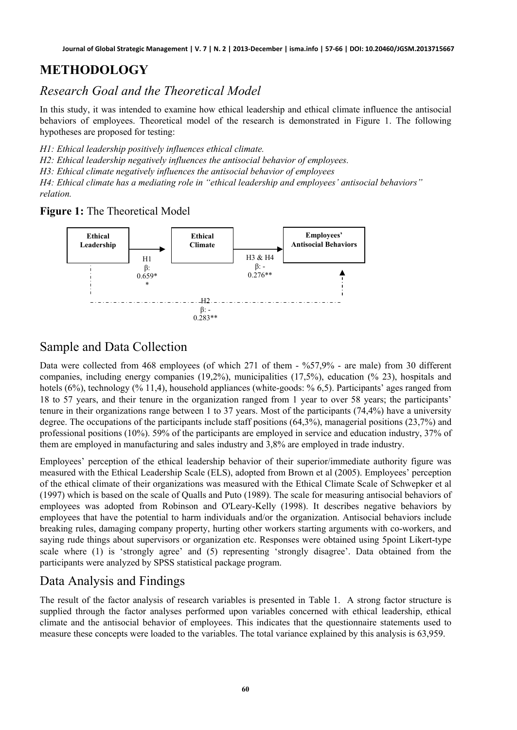### **METHODOLOGY**

*Research Goal and the Theoretical Model* 

In this study, it was intended to examine how ethical leadership and ethical climate influence the antisocial behaviors of employees. Theoretical model of the research is demonstrated in Figure 1. The following hypotheses are proposed for testing:

*H1: Ethical leadership positively influences ethical climate.*

*H2: Ethical leadership negatively influences the antisocial behavior of employees.*

*H3: Ethical climate negatively influences the antisocial behavior of employees*

*H4: Ethical climate has a mediating role in "ethical leadership and employees' antisocial behaviors" relation.* 

**Figure 1:** The Theoretical Model



#### Sample and Data Collection

Data were collected from 468 employees (of which 271 of them - %57,9% - are male) from 30 different companies, including energy companies (19,2%), municipalities (17,5%), education (% 23), hospitals and hotels (6%), technology (% 11,4), household appliances (white-goods: % 6,5). Participants' ages ranged from 18 to 57 years, and their tenure in the organization ranged from 1 year to over 58 years; the participants' tenure in their organizations range between 1 to 37 years. Most of the participants (74,4%) have a university degree. The occupations of the participants include staff positions (64,3%), managerial positions (23,7%) and professional positions (10%). 59% of the participants are employed in service and education industry, 37% of them are employed in manufacturing and sales industry and 3,8% are employed in trade industry.

Employees' perception of the ethical leadership behavior of their superior/immediate authority figure was measured with the Ethical Leadership Scale (ELS), adopted from Brown et al (2005). Employees' perception of the ethical climate of their organizations was measured with the Ethical Climate Scale of Schwepker et al (1997) which is based on the scale of Qualls and Puto (1989). The scale for measuring antisocial behaviors of employees was adopted from Robinson and O'Leary-Kelly (1998). It describes negative behaviors by employees that have the potential to harm individuals and/or the organization. Antisocial behaviors include breaking rules, damaging company property, hurting other workers starting arguments with co-workers, and saying rude things about supervisors or organization etc. Responses were obtained using 5point Likert-type scale where (1) is 'strongly agree' and (5) representing 'strongly disagree'. Data obtained from the participants were analyzed by SPSS statistical package program.

### Data Analysis and Findings

The result of the factor analysis of research variables is presented in Table 1. A strong factor structure is supplied through the factor analyses performed upon variables concerned with ethical leadership, ethical climate and the antisocial behavior of employees. This indicates that the questionnaire statements used to measure these concepts were loaded to the variables. The total variance explained by this analysis is 63,959.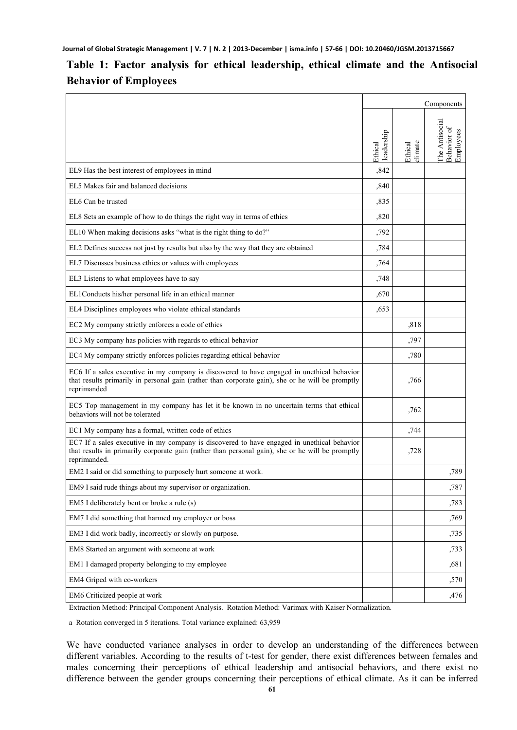#### **Table 1: Factor analysis for ethical leadership, ethical climate and the Antisocial Behavior of Employees**

|                                                                                                                                                                                                                |                       |                    | Components                                 |
|----------------------------------------------------------------------------------------------------------------------------------------------------------------------------------------------------------------|-----------------------|--------------------|--------------------------------------------|
|                                                                                                                                                                                                                | leadership<br>Ethical | climate<br>Ethical | The Antisocial<br>Behavior of<br>Employees |
| EL9 Has the best interest of employees in mind                                                                                                                                                                 | ,842                  |                    |                                            |
| EL5 Makes fair and balanced decisions                                                                                                                                                                          | ,840                  |                    |                                            |
| EL6 Can be trusted                                                                                                                                                                                             | ,835                  |                    |                                            |
| EL8 Sets an example of how to do things the right way in terms of ethics                                                                                                                                       | ,820                  |                    |                                            |
| EL10 When making decisions asks "what is the right thing to do?"                                                                                                                                               | ,792                  |                    |                                            |
| EL2 Defines success not just by results but also by the way that they are obtained                                                                                                                             | ,784                  |                    |                                            |
| EL7 Discusses business ethics or values with employees                                                                                                                                                         | ,764                  |                    |                                            |
| EL3 Listens to what employees have to say                                                                                                                                                                      | ,748                  |                    |                                            |
| EL1Conducts his/her personal life in an ethical manner                                                                                                                                                         | ,670                  |                    |                                            |
| EL4 Disciplines employees who violate ethical standards                                                                                                                                                        | ,653                  |                    |                                            |
| EC2 My company strictly enforces a code of ethics                                                                                                                                                              |                       | ,818               |                                            |
| EC3 My company has policies with regards to ethical behavior                                                                                                                                                   |                       | ,797               |                                            |
| EC4 My company strictly enforces policies regarding ethical behavior                                                                                                                                           |                       | ,780               |                                            |
| EC6 If a sales executive in my company is discovered to have engaged in unethical behavior<br>that results primarily in personal gain (rather than corporate gain), she or he will be promptly<br>reprimanded  |                       | ,766               |                                            |
| EC5 Top management in my company has let it be known in no uncertain terms that ethical<br>behaviors will not be tolerated                                                                                     |                       | ,762               |                                            |
| EC1 My company has a formal, written code of ethics                                                                                                                                                            |                       | ,744               |                                            |
| EC7 If a sales executive in my company is discovered to have engaged in unethical behavior<br>that results in primarily corporate gain (rather than personal gain), she or he will be promptly<br>reprimanded. |                       | ,728               |                                            |
| EM2 I said or did something to purposely hurt someone at work.                                                                                                                                                 |                       |                    | ,789                                       |
| EM9 I said rude things about my supervisor or organization.                                                                                                                                                    |                       |                    | ,787                                       |
| EM5 I deliberately bent or broke a rule (s)                                                                                                                                                                    |                       |                    | ,783                                       |
| EM7 I did something that harmed my employer or boss                                                                                                                                                            |                       |                    | ,769                                       |
| EM3 I did work badly, incorrectly or slowly on purpose.                                                                                                                                                        |                       |                    | ,735                                       |
| EM8 Started an argument with someone at work                                                                                                                                                                   |                       |                    | ,733                                       |
| EM1 I damaged property belonging to my employee                                                                                                                                                                |                       |                    | ,681                                       |
| EM4 Griped with co-workers                                                                                                                                                                                     |                       |                    | ,570                                       |
| EM6 Criticized people at work<br>Mathad: Dringinal Component Anglycic Datation Mathad: Varie                                                                                                                   |                       |                    | ,476                                       |

Extraction Method: Principal Component Analysis. Rotation Method: Varimax with Kaiser Normalization.

a Rotation converged in 5 iterations. Total variance explained: 63,959

We have conducted variance analyses in order to develop an understanding of the differences between different variables. According to the results of t-test for gender, there exist differences between females and males concerning their perceptions of ethical leadership and antisocial behaviors, and there exist no difference between the gender groups concerning their perceptions of ethical climate. As it can be inferred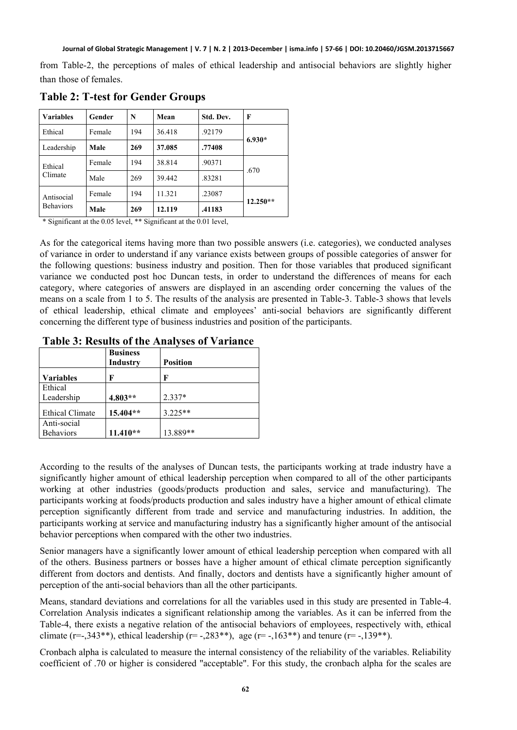from Table-2, the perceptions of males of ethical leadership and antisocial behaviors are slightly higher than those of females.

| <b>Variables</b>               | Gender | N   | Mean   | Std. Dev. | F          |  |
|--------------------------------|--------|-----|--------|-----------|------------|--|
| Ethical                        | Female | 194 | 36.418 | .92179    | $6.930*$   |  |
| Leadership                     | Male   | 269 | 37.085 | .77408    |            |  |
| Ethical<br>Climate             | Female | 194 | 38.814 | .90371    | .670       |  |
|                                | Male   | 269 | 39.442 | 83281     |            |  |
| Antisocial<br><b>Behaviors</b> | Female | 194 | 11.321 | .23087    | $12.250**$ |  |
|                                | Male   | 269 | 12.119 | .41183    |            |  |

**Table 2: T-test for Gender Groups** 

\* Significant at the 0.05 level, \*\* Significant at the 0.01 level,

As for the categorical items having more than two possible answers (i.e. categories), we conducted analyses of variance in order to understand if any variance exists between groups of possible categories of answer for the following questions: business industry and position. Then for those variables that produced significant variance we conducted post hoc Duncan tests, in order to understand the differences of means for each category, where categories of answers are displayed in an ascending order concerning the values of the means on a scale from 1 to 5. The results of the analysis are presented in Table-3. Table-3 shows that levels of ethical leadership, ethical climate and employees' anti-social behaviors are significantly different concerning the different type of business industries and position of the participants.

#### **Table 3: Results of the Analyses of Variance**

|                        | <b>Business</b><br><b>Industry</b> | <b>Position</b> |
|------------------------|------------------------------------|-----------------|
| <b>Variables</b>       | F                                  | F               |
| Ethical                |                                    |                 |
| Leadership             | 4.803**                            | $2.337*$        |
| <b>Ethical Climate</b> | 15.404**                           | $3.225**$       |
| Anti-social            |                                    |                 |
| <b>Behaviors</b>       | $11.410**$                         | 13.889**        |

According to the results of the analyses of Duncan tests, the participants working at trade industry have a significantly higher amount of ethical leadership perception when compared to all of the other participants working at other industries (goods/products production and sales, service and manufacturing). The participants working at foods/products production and sales industry have a higher amount of ethical climate perception significantly different from trade and service and manufacturing industries. In addition, the participants working at service and manufacturing industry has a significantly higher amount of the antisocial behavior perceptions when compared with the other two industries.

Senior managers have a significantly lower amount of ethical leadership perception when compared with all of the others. Business partners or bosses have a higher amount of ethical climate perception significantly different from doctors and dentists. And finally, doctors and dentists have a significantly higher amount of perception of the anti-social behaviors than all the other participants.

Means, standard deviations and correlations for all the variables used in this study are presented in Table-4. Correlation Analysis indicates a significant relationship among the variables. As it can be inferred from the Table-4, there exists a negative relation of the antisocial behaviors of employees, respectively with, ethical climate (r=-,343\*\*), ethical leadership (r=-,283\*\*), age (r=-,163\*\*) and tenure (r=-,139\*\*).

Cronbach alpha is calculated to measure the internal consistency of the reliability of the variables. Reliability coefficient of .70 or higher is considered "acceptable". For this study, the cronbach alpha for the scales are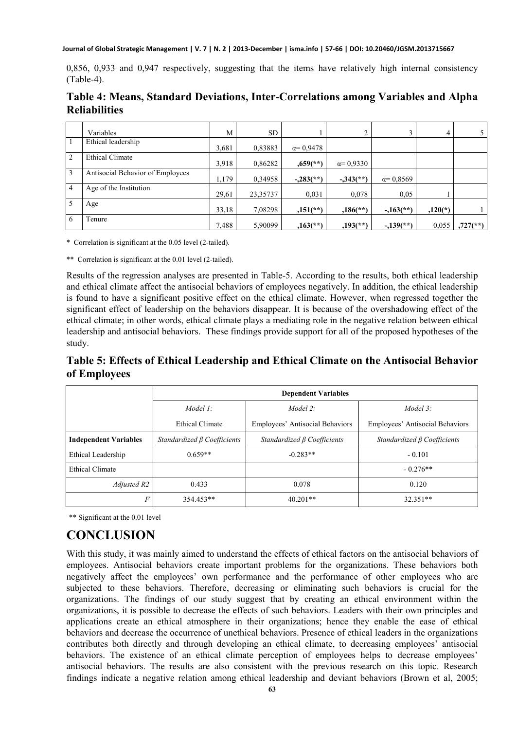**Journal of Global Strategic Management | V. 7 | N. 2 | 2013-December | isma.info | 57-66 | DOI: 10.20460/JGSM.2013715667**

0,856, 0,933 and 0,947 respectively, suggesting that the items have relatively high internal consistency (Table-4).

|                | Variables                        | M     | <b>SD</b> |                         |                         |                        | 4         | 5                        |
|----------------|----------------------------------|-------|-----------|-------------------------|-------------------------|------------------------|-----------|--------------------------|
|                | Ethical leadership               | 3,681 | 0,83883   | $\alpha = 0.9478$       |                         |                        |           |                          |
| 2              | <b>Ethical Climate</b>           | 3,918 | 0,86282   | $0.659$ <sup>**</sup> ) | $\alpha = 0.9330$       |                        |           |                          |
| 3              | Antisocial Behavior of Employees | 1,179 | 0,34958   | $-.283$ <sup>**</sup> ) | $-.343$ <sup>**</sup> ) | $\alpha = 0.8569$      |           |                          |
| $\overline{4}$ | Age of the Institution           | 29,61 | 23,35737  | 0.031                   | 0,078                   | 0.05                   |           |                          |
|                | Age                              | 33,18 | 7,08298   | $,151$ <sup>**</sup> )  | $,186$ <sup>**</sup> )  | $-163$ <sup>**</sup> ) | $,120(*)$ |                          |
| 6              | Tenure                           | 7,488 | 5,90099   | $,163$ <sup>**</sup> )  | $,193$ <sup>**</sup> )  | $-139$ <sup>**</sup> ) | 0.055     | $,727$ <sup>(**)</sup> ) |

**Table 4: Means, Standard Deviations, Inter-Correlations among Variables and Alpha Reliabilities** 

\* Correlation is significant at the 0.05 level (2-tailed).

\*\* Correlation is significant at the 0.01 level (2-tailed).

Results of the regression analyses are presented in Table-5. According to the results, both ethical leadership and ethical climate affect the antisocial behaviors of employees negatively. In addition, the ethical leadership is found to have a significant positive effect on the ethical climate. However, when regressed together the significant effect of leadership on the behaviors disappear. It is because of the overshadowing effect of the ethical climate; in other words, ethical climate plays a mediating role in the negative relation between ethical leadership and antisocial behaviors. These findings provide support for all of the proposed hypotheses of the study.

**Table 5: Effects of Ethical Leadership and Ethical Climate on the Antisocial Behavior of Employees** 

|                              | <b>Dependent Variables</b>        |                                   |                                   |  |  |  |
|------------------------------|-----------------------------------|-----------------------------------|-----------------------------------|--|--|--|
|                              | Model $1$ :                       | Model 2:                          |                                   |  |  |  |
|                              | Ethical Climate                   | Employees' Antisocial Behaviors   | Employees' Antisocial Behaviors   |  |  |  |
| <b>Independent Variables</b> | Standardized $\beta$ Coefficients | Standardized $\beta$ Coefficients | Standardized $\beta$ Coefficients |  |  |  |
| Ethical Leadership           | $0.659**$                         | $-0.283**$                        | $-0.101$                          |  |  |  |
| <b>Ethical Climate</b>       |                                   |                                   | $-0.276**$                        |  |  |  |
| Adjusted R2                  | 0.433                             | 0.078                             | 0.120                             |  |  |  |
| F                            | 354.453**                         | $40.201**$                        | 32.351**                          |  |  |  |

\*\* Significant at the 0.01 level

## **CONCLUSION**

With this study, it was mainly aimed to understand the effects of ethical factors on the antisocial behaviors of employees. Antisocial behaviors create important problems for the organizations. These behaviors both negatively affect the employees' own performance and the performance of other employees who are subjected to these behaviors. Therefore, decreasing or eliminating such behaviors is crucial for the organizations. The findings of our study suggest that by creating an ethical environment within the organizations, it is possible to decrease the effects of such behaviors. Leaders with their own principles and applications create an ethical atmosphere in their organizations; hence they enable the ease of ethical behaviors and decrease the occurrence of unethical behaviors. Presence of ethical leaders in the organizations contributes both directly and through developing an ethical climate, to decreasing employees' antisocial behaviors. The existence of an ethical climate perception of employees helps to decrease employees' antisocial behaviors. The results are also consistent with the previous research on this topic. Research findings indicate a negative relation among ethical leadership and deviant behaviors (Brown et al, 2005;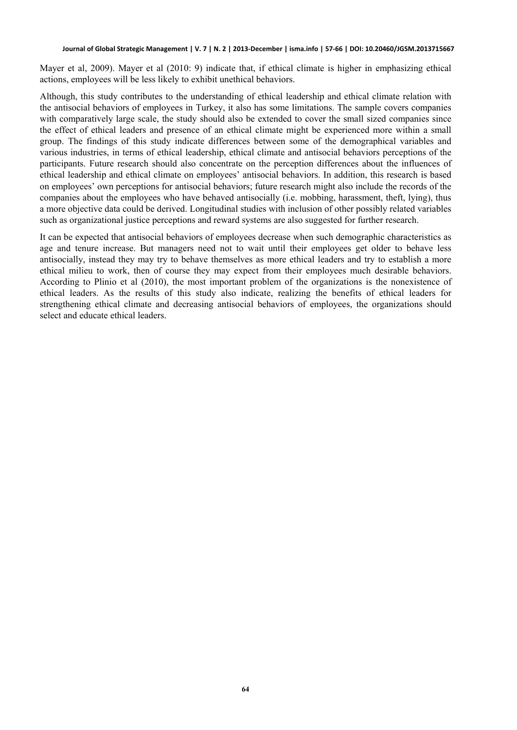Mayer et al, 2009). Mayer et al (2010: 9) indicate that, if ethical climate is higher in emphasizing ethical actions, employees will be less likely to exhibit unethical behaviors.

Although, this study contributes to the understanding of ethical leadership and ethical climate relation with the antisocial behaviors of employees in Turkey, it also has some limitations. The sample covers companies with comparatively large scale, the study should also be extended to cover the small sized companies since the effect of ethical leaders and presence of an ethical climate might be experienced more within a small group. The findings of this study indicate differences between some of the demographical variables and various industries, in terms of ethical leadership, ethical climate and antisocial behaviors perceptions of the participants. Future research should also concentrate on the perception differences about the influences of ethical leadership and ethical climate on employees' antisocial behaviors. In addition, this research is based on employees' own perceptions for antisocial behaviors; future research might also include the records of the companies about the employees who have behaved antisocially (i.e. mobbing, harassment, theft, lying), thus a more objective data could be derived. Longitudinal studies with inclusion of other possibly related variables such as organizational justice perceptions and reward systems are also suggested for further research.

It can be expected that antisocial behaviors of employees decrease when such demographic characteristics as age and tenure increase. But managers need not to wait until their employees get older to behave less antisocially, instead they may try to behave themselves as more ethical leaders and try to establish a more ethical milieu to work, then of course they may expect from their employees much desirable behaviors. According to Plinio et al (2010), the most important problem of the organizations is the nonexistence of ethical leaders. As the results of this study also indicate, realizing the benefits of ethical leaders for strengthening ethical climate and decreasing antisocial behaviors of employees, the organizations should select and educate ethical leaders.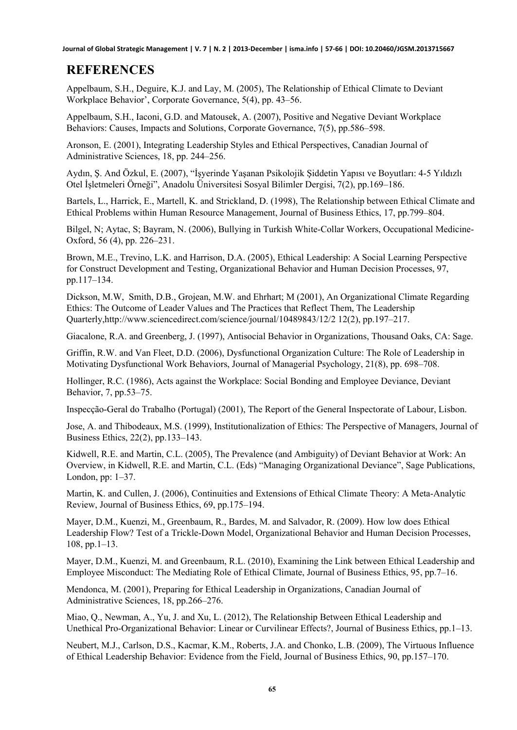**Journal of Global Strategic Management | V. 7 | N. 2 | 2013-December | isma.info | 57-66 | DOI: 10.20460/JGSM.2013715667**

#### **REFERENCES**

Appelbaum, S.H., Deguire, K.J. and Lay, M. (2005), The Relationship of Ethical Climate to Deviant Workplace Behavior', Corporate Governance, 5(4), pp. 43–56.

Appelbaum, S.H., Iaconi, G.D. and Matousek, A. (2007), Positive and Negative Deviant Workplace Behaviors: Causes, Impacts and Solutions, Corporate Governance, 7(5), pp.586–598.

[Aronson, E. \(2001\)](http://www.sciencedirect.com/science/article/pii/S0749597805000373#bib5), Integrating Leadership Styles and Ethical Perspectives, Canadian Journal of Administrative Sciences, 18, pp. 244–256.

Aydın, Ş. And Özkul, E. (2007), "İşyerinde Yaşanan Psikolojik Şiddetin Yapısı ve Boyutları: 4-5 Yıldızlı Otel İşletmeleri Örneği", Anadolu Üniversitesi Sosyal Bilimler Dergisi, 7(2), pp.169–186.

Bartels, L., Harrick, E., Martell, K. and Strickland, D. (1998), The Relationship between Ethical Climate and Ethical Problems within Human Resource Management, Journal of Business Ethics, 17, pp.799–804.

Bilgel, N; Aytac, S; Bayram, N. (2006), [Bullying in Turkish White-Collar Workers](http://apps.isiknowledge.com/InboundService.do?SID=Q272nIld4AiDfHbkm7G¨_return_url=http%3A%2F%2Fpcs.isiknowledge.com%2Fuml%2Fuml_view.cgi%3Fproduct_sid%3DQ272nIld4AiDfHbkm7G%26product%3DWOS%26marklist_id%3DWOS%26database_id%3DGB%26product_st_thomas%3Dhttp%253A%252F%252Festi%252Eisiknowledge%252Ecom%253A8360%252Festi%252Fxrpc%26sort_opt%3DDate&action=retrieve&product=WOS&mode=FullRecord&viewType=fullRecord&frmUML=1&UT=000238545700004), Occupational Medicine-Oxford, 56 (4), pp. 226–231.

Brown, M.E., Trevino, L.K. and Harrison, D.A. (2005), Ethical Leadership: A Social Learning Perspective for Construct Development and Testing, Organizational Behavior and Human Decision Processes, 97, pp.117–134.

[Dickson](http://www.sciencedirect.com/science/article/pii/S1048984301000698), M.W, [Smith](http://www.sciencedirect.com/science/article/pii/S1048984301000698), D.B., [Grojean,](http://www.sciencedirect.com/science/article/pii/S1048984301000698) M.W. and [Ehrhart](http://www.sciencedirect.com/science/article/pii/S1048984301000698); M (2001), An Organizational Climate Regarding Ethics: The Outcome of Leader Values and The Practices that Reflect Them, [The Leadership](http://www.sciencedirect.com/science/journal/10489843)  [Quarterly](http://www.sciencedirect.com/science/journal/10489843),<http://www.sciencedirect.com/science/journal/10489843/12/2> 12(2), pp.197–217.

Giacalone, R.A. and Greenberg, J. (1997), Antisocial Behavior in Organizations, Thousand Oaks, CA: Sage.

Griffin, R.W. and Van Fleet, D.D. (2006), Dysfunctional Organization Culture: The Role of Leadership in Motivating Dysfunctional Work Behaviors, Journal of Managerial Psychology, 21(8), pp. 698–708.

Hollinger, R.C. (1986), Acts against the Workplace: Social Bonding and Employee Deviance, Deviant Behavior, 7, pp.53–75.

Inspecção-Geral do Trabalho (Portugal) (2001), The Report of the General Inspectorate of Labour, Lisbon.

Jose, A. and [Thibodeaux](http://philpapers.org/s/Mary%20S.%20Thibodeaux), M.S. (1999), [Institutionalization of Ethics: The Perspective of Managers,](http://www.springerlink.com/content/wlw733611x567622/fulltext.pdf) [Journal of](http://philpapers.org/asearch.pl?pubn=Journal%20of%20Business%20Ethics)  [Business Ethics,](http://philpapers.org/asearch.pl?pubn=Journal%20of%20Business%20Ethics) 22(2), pp.133–143.

Kidwell, R.E. and Martin, C.L. (2005), The Prevalence (and Ambiguity) of Deviant Behavior at Work: An Overview, in Kidwell, R.E. and Martin, C.L. (Eds) "Managing Organizational Deviance", Sage Publications, London, pp: 1–37.

Martin, K. and Cullen, J. (2006), Continuities and Extensions of Ethical Climate Theory: A Meta-Analytic Review, Journal of Business Ethics, 69, pp.175–194.

Mayer, D.M., Kuenzi, M., Greenbaum, R., Bardes, M. and Salvador, R. (2009). How low does Ethical Leadership Flow? Test of a Trickle-Down Model, Organizational Behavior and Human Decision Processes, 108, pp.1–13.

Mayer, D.M., Kuenzi, M. and Greenbaum, R.L. (2010), Examining the Link between Ethical Leadership and Employee Misconduct: The Mediating Role of Ethical Climate, Journal of Business Ethics, 95, pp.7–16.

[Mendonca, M. \(2001](http://www.sciencedirect.com/science/article/pii/S0749597805000373#bib55)), Preparing for Ethical Leadership in Organizations, Canadian Journal of Administrative Sciences, 18, pp.266–276.

Miao, Q., Newman, A., Yu, J. and Xu, L. (2012), The Relationship Between Ethical Leadership and Unethical Pro-Organizational Behavior: Linear or Curvilinear Effects?, Journal of Business Ethics, pp.1–13.

Neubert, M.J., Carlson, D.S., Kacmar, K.M., Roberts, J.A. and Chonko, L.B. (2009), The Virtuous Influence of Ethical Leadership Behavior: Evidence from the Field, Journal of Business Ethics, 90, pp.157–170.